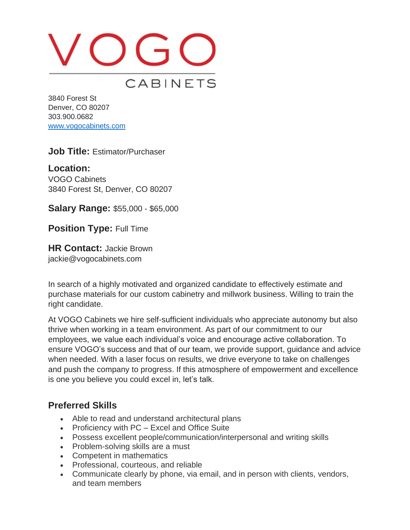# VOGO CABINETS

3840 Forest St Denver, CO 80207 303.900.0682 [www.vogocabinets.com](http://www.vogocabinets.com/)

**Job Title:** Estimator/Purchaser

**Location:**  VOGO Cabinets 3840 Forest St, Denver, CO 80207

**Salary Range:** \$55,000 - \$65,000

**Position Type:** Full Time

**HR Contact:** Jackie Brown jackie@vogocabinets.com

In search of a highly motivated and organized candidate to effectively estimate and purchase materials for our custom cabinetry and millwork business. Willing to train the right candidate.

At VOGO Cabinets we hire self-sufficient individuals who appreciate autonomy but also thrive when working in a team environment. As part of our commitment to our employees, we value each individual's voice and encourage active collaboration. To ensure VOGO's success and that of our team, we provide support, guidance and advice when needed. With a laser focus on results, we drive everyone to take on challenges and push the company to progress. If this atmosphere of empowerment and excellence is one you believe you could excel in, let's talk.

## **Preferred Skills**

- Able to read and understand architectural plans
- Proficiency with PC Excel and Office Suite
- Possess excellent people/communication/interpersonal and writing skills
- Problem-solving skills are a must
- Competent in mathematics
- Professional, courteous, and reliable
- Communicate clearly by phone, via email, and in person with clients, vendors, and team members